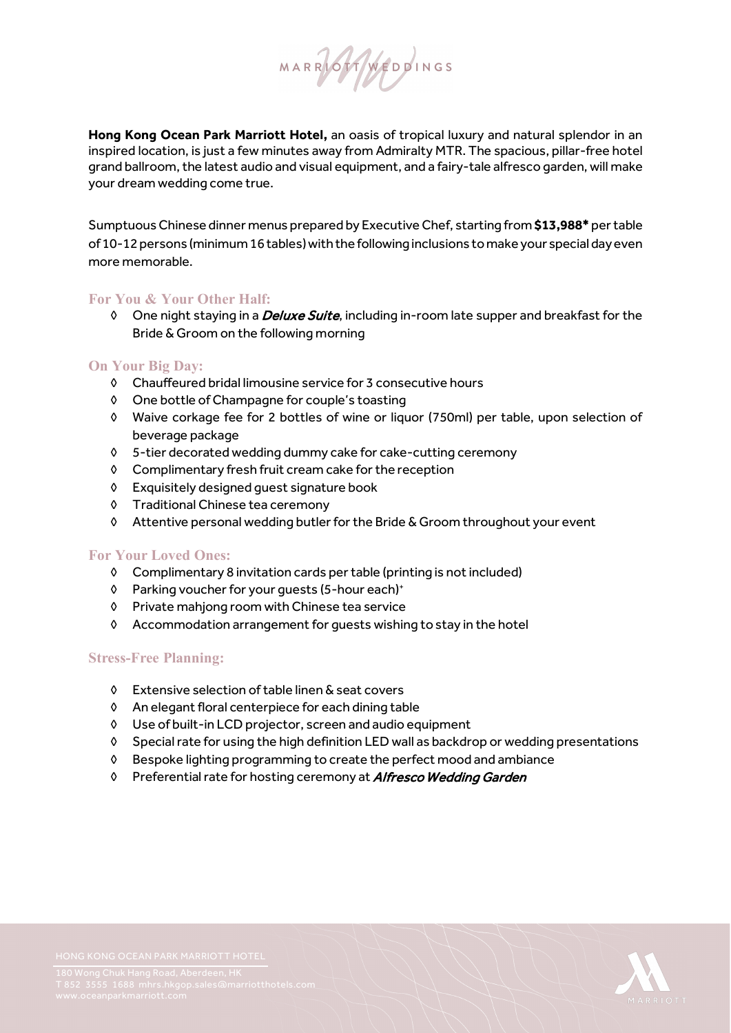

**Hong Kong Ocean Park Marriott Hotel,** an oasis of tropical luxury and natural splendor in an inspired location, is just a few minutes away from Admiralty MTR. The spacious, pillar-free hotel grand ballroom, the latest audio and visual equipment, and a fairy-tale alfresco garden, will make your dream wedding come true.

Sumptuous Chinese dinner menus prepared by Executive Chef, starting from **\$13,988\*** per table of 10-12 persons (minimum 16 tables) with the following inclusions to make your special day even more memorable.

# **For You & Your Other Half:**

◊ One night staying in a Deluxe Suite, including in-room late supper and breakfast for the Bride & Groom on the following morning

# **On Your Big Day:**

- ◊ Chauffeured bridal limousine service for 3 consecutive hours
- ◊ One bottle of Champagne for couple's toasting
- ◊ Waive corkage fee for 2 bottles of wine or liquor (750ml) per table, upon selection of beverage package
- ◊ 5-tier decorated wedding dummy cake for cake-cutting ceremony
- ◊ Complimentary fresh fruit cream cake for the reception
- ◊ Exquisitely designed guest signature book
- ◊ Traditional Chinese tea ceremony
- ◊ Attentive personal wedding butler for the Bride & Groom throughout your event

# **For Your Loved Ones:**

- ◊ Complimentary 8 invitation cards per table (printing is not included)
- ◊ Parking voucher for your guests (5-hour each)+
- ◊ Private mahjong room with Chinese tea service
- ◊ Accommodation arrangement for guests wishing to stay in the hotel

# **Stress-Free Planning:**

- ◊ Extensive selection of table linen & seat covers
- ◊ An elegant floral centerpiece for each dining table
- ◊ Use of built-in LCD projector, screen and audio equipment
- ◊ Special rate for using the high definition LED wall as backdrop or wedding presentations
- ◊ Bespoke lighting programming to create the perfect mood and ambiance
- ◊ Preferential rate for hosting ceremony at Alfresco Wedding Garden

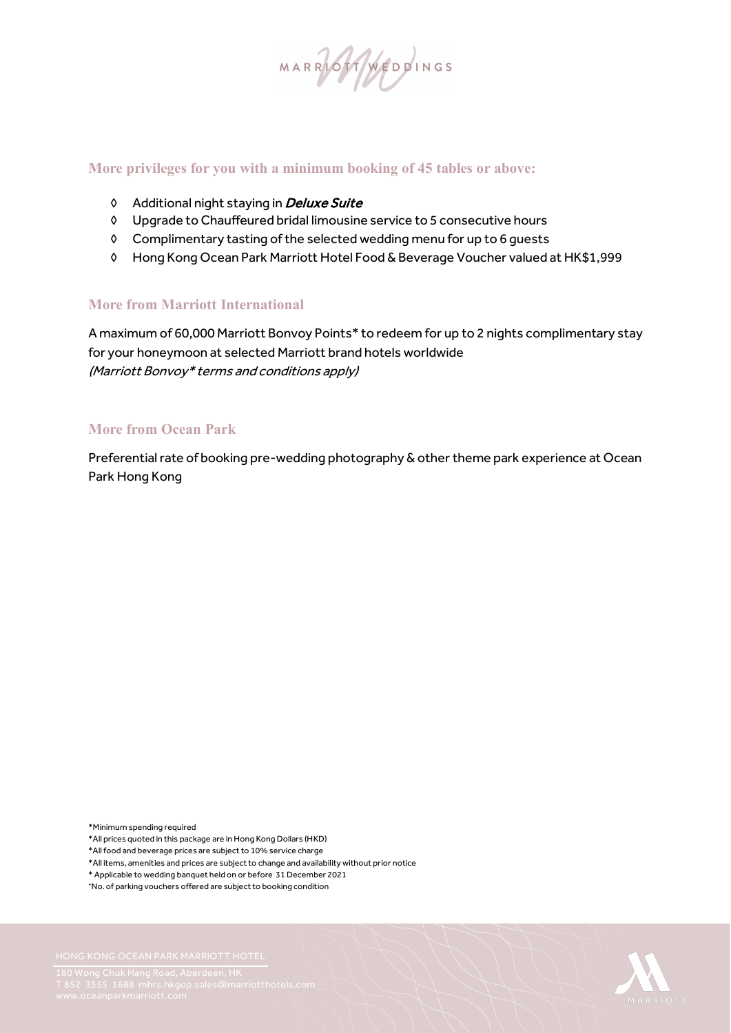MARRIOTINGS

## **More privileges for you with a minimum booking of 45 tables or above:**

- ◊ Additional night staying in Deluxe Suite
- ◊ Upgrade to Chauffeured bridal limousine service to 5 consecutive hours
- ◊ Complimentary tasting of the selected wedding menu for up to 6 guests
- ◊ Hong Kong Ocean Park Marriott Hotel Food & Beverage Voucher valued at HK\$1,999

# **More from Marriott International**

A maximum of 60,000 Marriott Bonvoy Points\* to redeem for up to 2 nights complimentary stay for your honeymoon at selected Marriott brand hotels worldwide (Marriott Bonvoy\* terms and conditions apply)

#### **More from Ocean Park**

Preferential rate of booking pre-wedding photography & other theme park experience at Ocean Park Hong Kong

\*Minimum spending required

\*All prices quoted in this package are in Hong Kong Dollars (HKD)

- \*All food and beverage prices are subject to 10% service charge
- \*All items, amenities and prices are subject to change and availability without prior notice
- \* Applicable to wedding banquet held on or before 31 December 2021
- +No. of parking vouchers offered are subject to booking condition

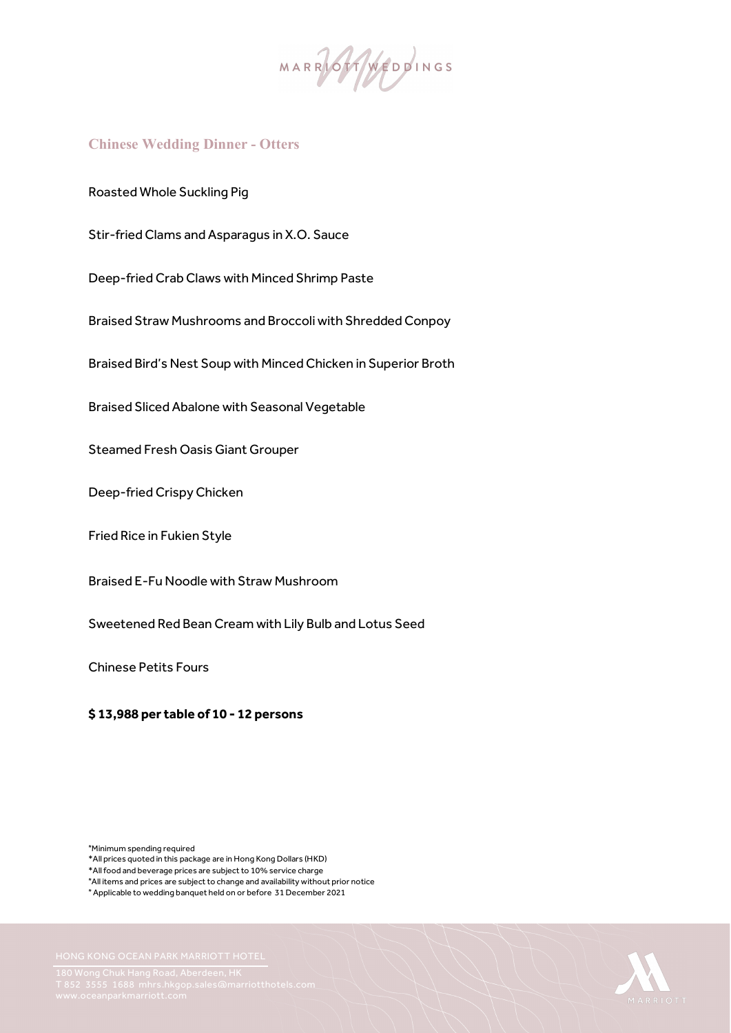MARRASTANEDDINGS

# **Chinese Wedding Dinner - Otters**

Roasted Whole Suckling Pig

Stir-fried Clams and Asparagus in X.O. Sauce

Deep-fried Crab Claws with Minced Shrimp Paste

Braised Straw Mushrooms and Broccoli with Shredded Conpoy

Braised Bird's Nest Soup with Minced Chicken in Superior Broth Braised Bird's Nest Soup with Minced Chicken in Superior Broth<br>Braised Sliced Abalone with Seasonal Vegetable<br>Steamed Fresh Oasis Giant Grouper<br>Deep-fried Crispy Chicken<br>Fried Rice in Fukien Style

**Braised Sliced Abalone with Seasonal Vegetable** 

**Steamed Fresh Oasis Giant Grouper** 

Deep-fried Crispy Chicken

Braised E-Fu Noodle with Straw Mushroom

Sweetened Red Bean Cream with Lily Bulb and Lotus Seed

Chinese Petits Fours

#### **\$ 13,988 per table of 10 - 12 persons**

\*Minimum spending required

\*All prices quoted in this package are in Hong Kong Dollars (HKD)

\*All items and prices are subject to change and availability without prior notice

\* Applicable to wedding banquet held on or before 31 December 2021



<sup>\*</sup>All food and beverage prices are subject to 10% service charge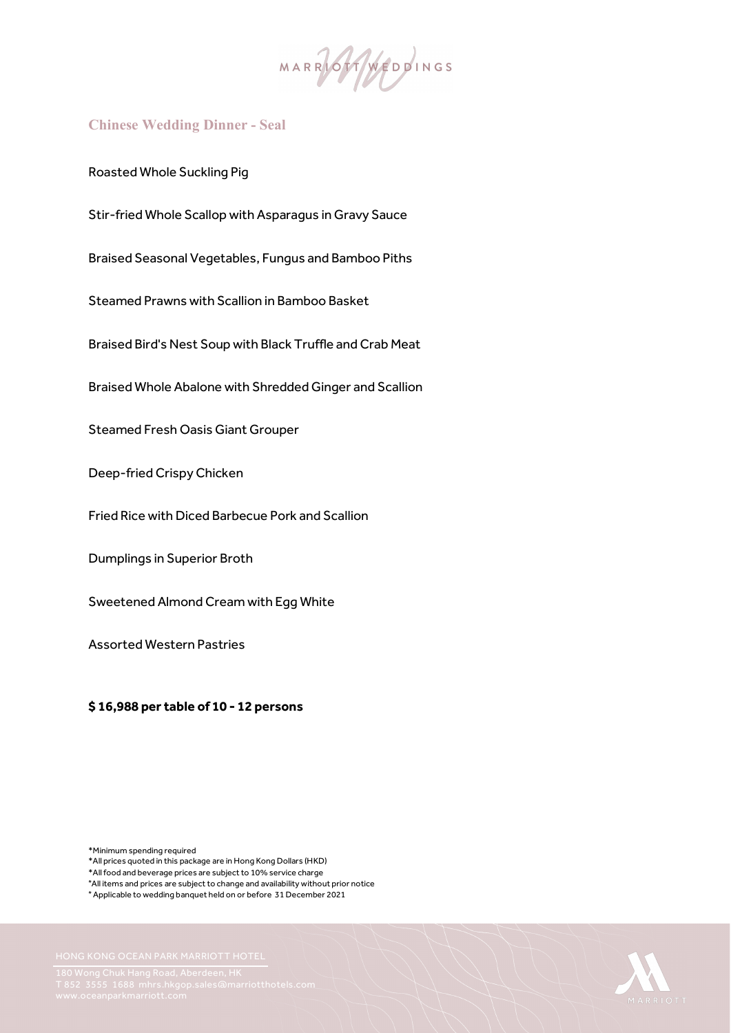

#### **Chinese Wedding Dinner - Seal**

Roasted Whole Suckling Pig

Stir-fried Whole Scallop with Asparagus in Gravy Sauce

Braised Seasonal Vegetables, Fungus and Bamboo Piths

Steamed Prawns with Scallion in Bamboo Basket

Braised Bird's Nest Soup with Black Truffle and Crab Meat

Braised Whole Abalone with Shredded Ginger and Scallion

Steamed Fresh Oasis Giant Grouper

Deep-fried Crispy Chicken

Fried Rice with Diced Barbecue Pork and Scallion

Dumplings in Superior Broth

Sweetened Almond Cream with Egg White

Assorted Western Pastries

 **\$ 16,988 per table of 10 - 12 persons** 

\*Minimum spending required

- \*All prices quoted in this package are in Hong Kong Dollars (HKD)
- \*All food and beverage prices are subject to 10% service charge
- \*All items and prices are subject to change and availability without prior notice

\* Applicable to wedding banquet held on or before 31 December 2021

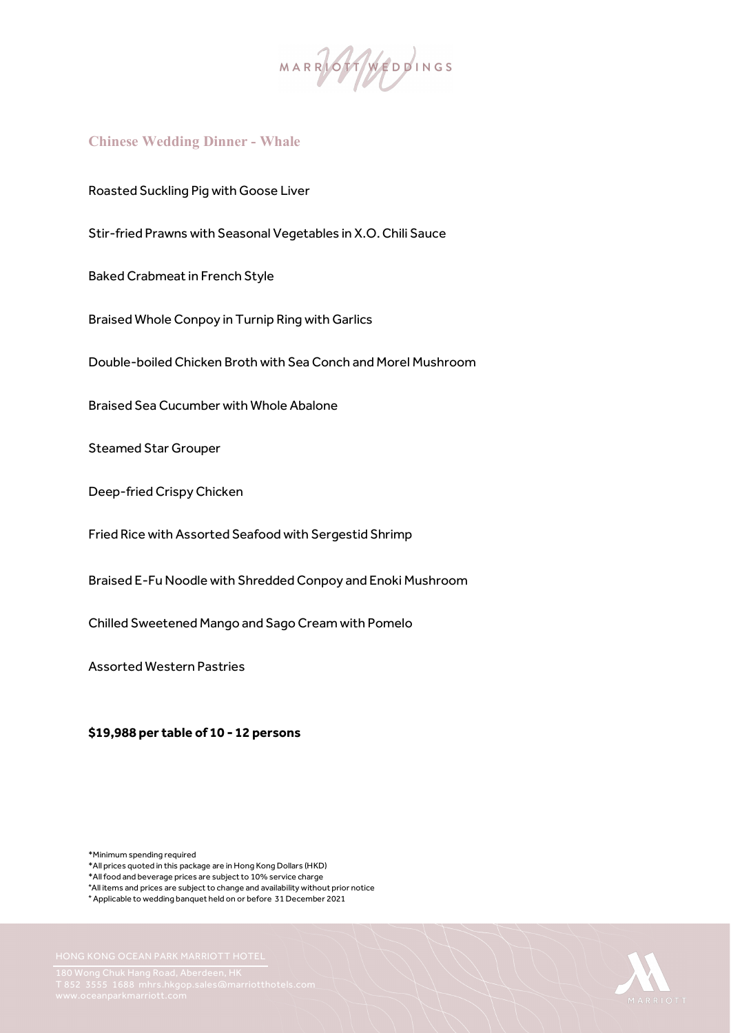MARRIALINGS

# **Chinese Wedding Dinner - Whale**

Roasted Suckling Pig with Goose Liver

Stir-fried Prawns with Seasonal Vegetables in X.O. Chili Sauce

Baked Crabmeat in French Style

Braised Whole Conpoy in Turnip Ring with Garlics

Double-boiled Chicken Broth with Sea Conch and Morel Mushroom

Braised Sea Cucumber with Whole Abalone

Steamed Star Grouper

Deep-fried Crispy Chicken

Fried Rice with Assorted Seafood with Sergestid Shrimp

Braised E-Fu Noodle with Shredded Conpoy and Enoki Mushroom

Chilled Sweetened Mango and Sago Cream with Pomelo

Assorted Western Pastries

 **\$19,988 per table of 10 - 12 persons** 

\*Minimum spending required

\*All prices quoted in this package are in Hong Kong Dollars (HKD)

\*All food and beverage prices are subject to 10% service charge

\*All items and prices are subject to change and availability without prior notice

\* Applicable to wedding banquet held on or before 31 December 2021